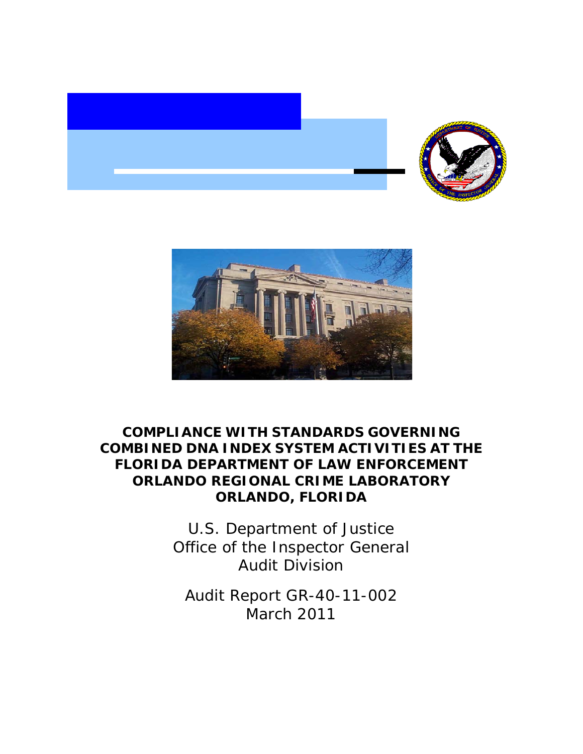



## **COMPLIANCE WITH STANDARDS GOVERNING COMBINED DNA INDEX SYSTEM ACTIVITIES AT THE FLORIDA DEPARTMENT OF LAW ENFORCEMENT ORLANDO REGIONAL CRIME LABORATORY ORLANDO, FLORIDA**

U.S. Department of Justice Office of the Inspector General Audit Division

Audit Report GR-40-11-002 March 2011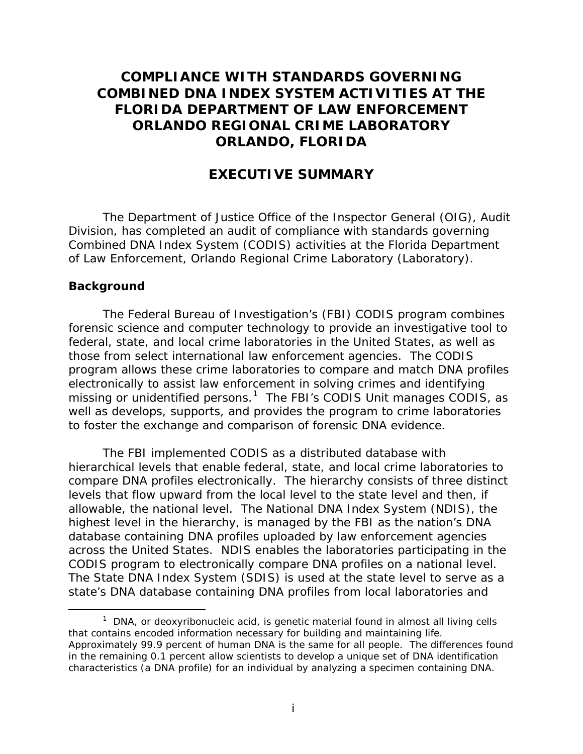## **COMPLIANCE WITH STANDARDS GOVERNING COMBINED DNA INDEX SYSTEM ACTIVITIES AT THE FLORIDA DEPARTMENT OF LAW ENFORCEMENT ORLANDO REGIONAL CRIME LABORATORY ORLANDO, FLORIDA**

### **EXECUTIVE SUMMARY**

The Department of Justice Office of the Inspector General (OIG), Audit Division, has completed an audit of compliance with standards governing Combined DNA Index System (CODIS) activities at the Florida Department of Law Enforcement, Orlando Regional Crime Laboratory (Laboratory).

#### **Background**

The Federal Bureau of Investigation's (FBI) CODIS program combines forensic science and computer technology to provide an investigative tool to federal, state, and local crime laboratories in the United States, as well as those from select international law enforcement agencies. The CODIS program allows these crime laboratories to compare and match DNA profiles electronically to assist law enforcement in solving crimes and identifying missing or unidentified persons.<sup>[1](#page-1-0)</sup> The FBI's CODIS Unit manages CODIS, as well as develops, supports, and provides the program to crime laboratories to foster the exchange and comparison of forensic DNA evidence.

The FBI implemented CODIS as a distributed database with hierarchical levels that enable federal, state, and local crime laboratories to compare DNA profiles electronically. The hierarchy consists of three distinct levels that flow upward from the local level to the state level and then, if allowable, the national level. The National DNA Index System (NDIS), the highest level in the hierarchy, is managed by the FBI as the nation's DNA database containing DNA profiles uploaded by law enforcement agencies across the United States. NDIS enables the laboratories participating in the CODIS program to electronically compare DNA profiles on a national level. The State DNA Index System (SDIS) is used at the state level to serve as a state's DNA database containing DNA profiles from local laboratories and

<span id="page-1-0"></span> $1$  DNA, or deoxyribonucleic acid, is genetic material found in almost all living cells that contains encoded information necessary for building and maintaining life. Approximately 99.9 percent of human DNA is the same for all people. The differences found in the remaining 0.1 percent allow scientists to develop a unique set of DNA identification characteristics (a DNA profile) for an individual by analyzing a specimen containing DNA.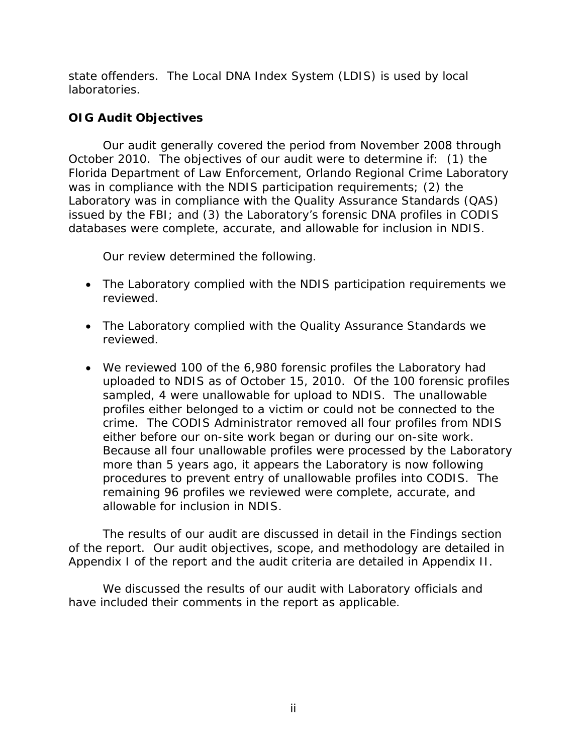state offenders. The Local DNA Index System (LDIS) is used by local laboratories.

## **OIG Audit Objectives**

Our audit generally covered the period from November 2008 through October 2010. The objectives of our audit were to determine if: (1) the Florida Department of Law Enforcement, Orlando Regional Crime Laboratory was in compliance with the NDIS participation requirements; (2) the Laboratory was in compliance with the Quality Assurance Standards (QAS) issued by the FBI; and (3) the Laboratory's forensic DNA profiles in CODIS databases were complete, accurate, and allowable for inclusion in NDIS.

Our review determined the following.

- The Laboratory complied with the NDIS participation requirements we reviewed.
- The Laboratory complied with the Quality Assurance Standards we reviewed.
- We reviewed 100 of the 6,980 forensic profiles the Laboratory had uploaded to NDIS as of October 15, 2010. Of the 100 forensic profiles sampled, 4 were unallowable for upload to NDIS. The unallowable profiles either belonged to a victim or could not be connected to the crime. The CODIS Administrator removed all four profiles from NDIS either before our on-site work began or during our on-site work. Because all four unallowable profiles were processed by the Laboratory more than 5 years ago, it appears the Laboratory is now following procedures to prevent entry of unallowable profiles into CODIS. The remaining 96 profiles we reviewed were complete, accurate, and allowable for inclusion in NDIS.

The results of our audit are discussed in detail in the Findings section of the report. Our audit objectives, scope, and methodology are detailed in Appendix I of the report and the audit criteria are detailed in Appendix II.

We discussed the results of our audit with Laboratory officials and have included their comments in the report as applicable.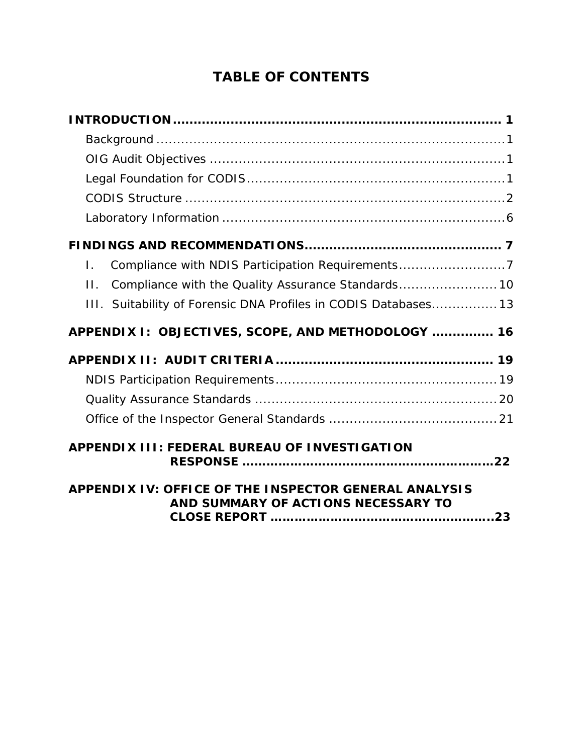# **TABLE OF CONTENTS**

| Compliance with NDIS Participation Requirements7<br>Ι.          |  |
|-----------------------------------------------------------------|--|
| Compliance with the Quality Assurance Standards 10<br>$\Pi$ .   |  |
| III. Suitability of Forensic DNA Profiles in CODIS Databases 13 |  |
| APPENDIX I: OBJECTIVES, SCOPE, AND METHODOLOGY  16              |  |
|                                                                 |  |
|                                                                 |  |
|                                                                 |  |
|                                                                 |  |
| APPENDIX III: FEDERAL BUREAU OF INVESTIGATION                   |  |
| APPENDIX IV: OFFICE OF THE INSPECTOR GENERAL ANALYSIS           |  |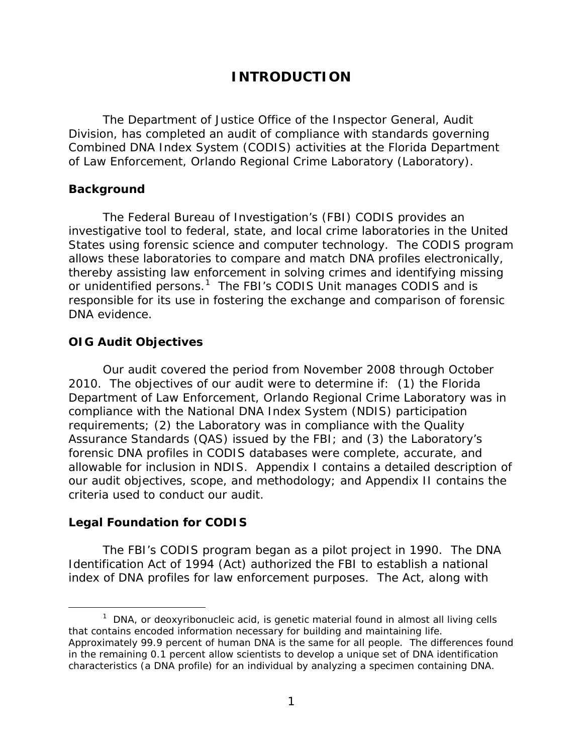## **INTRODUCTION**

<span id="page-4-0"></span>The Department of Justice Office of the Inspector General, Audit Division, has completed an audit of compliance with standards governing Combined DNA Index System (CODIS) activities at the Florida Department of Law Enforcement, Orlando Regional Crime Laboratory (Laboratory).

#### **Background**

The Federal Bureau of Investigation's (FBI) CODIS provides an investigative tool to federal, state, and local crime laboratories in the United States using forensic science and computer technology. The CODIS program allows these laboratories to compare and match DNA profiles electronically, thereby assisting law enforcement in solving crimes and identifying missing or unidentified persons.<sup>[1](#page-4-1)</sup> The FBI's CODIS Unit manages CODIS and is responsible for its use in fostering the exchange and comparison of forensic DNA evidence.

### **OIG Audit Objectives**

Our audit covered the period from November 2008 through October 2010. The objectives of our audit were to determine if: (1) the Florida Department of Law Enforcement, Orlando Regional Crime Laboratory was in compliance with the National DNA Index System (NDIS) participation requirements; (2) the Laboratory was in compliance with the Quality Assurance Standards (QAS) issued by the FBI; and (3) the Laboratory's forensic DNA profiles in CODIS databases were complete, accurate, and allowable for inclusion in NDIS. Appendix I contains a detailed description of our audit objectives, scope, and methodology; and Appendix II contains the criteria used to conduct our audit.

### **Legal Foundation for CODIS**

The FBI's CODIS program began as a pilot project in 1990. The DNA Identification Act of 1994 (Act) authorized the FBI to establish a national index of DNA profiles for law enforcement purposes. The Act, along with

<span id="page-4-1"></span> $1$  DNA, or deoxyribonucleic acid, is genetic material found in almost all living cells that contains encoded information necessary for building and maintaining life. Approximately 99.9 percent of human DNA is the same for all people. The differences found in the remaining 0.1 percent allow scientists to develop a unique set of DNA identification characteristics (a DNA profile) for an individual by analyzing a specimen containing DNA.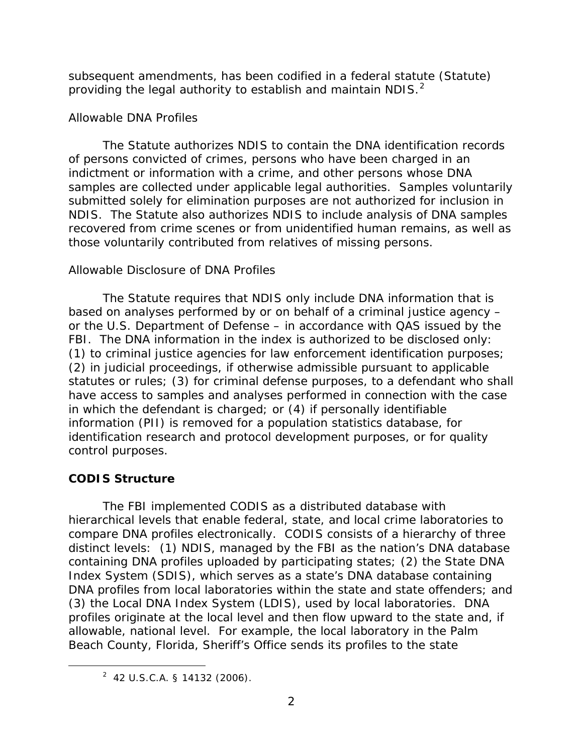subsequent amendments, has been codified in a federal statute (Statute) providing the legal authority to establish and maintain NDIS.<sup>[2](#page-5-0)</sup>

### *Allowable DNA Profiles*

The Statute authorizes NDIS to contain the DNA identification records of persons convicted of crimes, persons who have been charged in an indictment or information with a crime, and other persons whose DNA samples are collected under applicable legal authorities. Samples voluntarily submitted solely for elimination purposes are not authorized for inclusion in NDIS. The Statute also authorizes NDIS to include analysis of DNA samples recovered from crime scenes or from unidentified human remains, as well as those voluntarily contributed from relatives of missing persons.

### *Allowable Disclosure of DNA Profiles*

The Statute requires that NDIS only include DNA information that is based on analyses performed by or on behalf of a criminal justice agency – or the U.S. Department of Defense – in accordance with QAS issued by the FBI. The DNA information in the index is authorized to be disclosed only: (1) to criminal justice agencies for law enforcement identification purposes; (2) in judicial proceedings, if otherwise admissible pursuant to applicable statutes or rules; (3) for criminal defense purposes, to a defendant who shall have access to samples and analyses performed in connection with the case in which the defendant is charged; or (4) if personally identifiable information (PII) is removed for a population statistics database, for identification research and protocol development purposes, or for quality control purposes.

### **CODIS Structure**

The FBI implemented CODIS as a distributed database with hierarchical levels that enable federal, state, and local crime laboratories to compare DNA profiles electronically. CODIS consists of a hierarchy of three distinct levels: (1) NDIS, managed by the FBI as the nation's DNA database containing DNA profiles uploaded by participating states; (2) the State DNA Index System (SDIS), which serves as a state's DNA database containing DNA profiles from local laboratories within the state and state offenders; and (3) the Local DNA Index System (LDIS), used by local laboratories. DNA profiles originate at the local level and then flow upward to the state and, if allowable, national level. For example, the local laboratory in the Palm Beach County, Florida, Sheriff's Office sends its profiles to the state

<span id="page-5-0"></span> $2$  42 U.S.C.A. § 14132 (2006).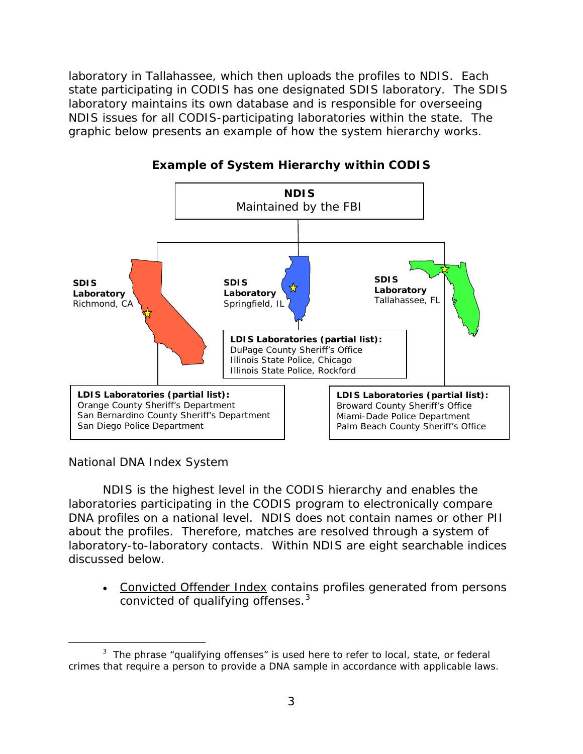laboratory in Tallahassee, which then uploads the profiles to NDIS. Each state participating in CODIS has one designated SDIS laboratory. The SDIS laboratory maintains its own database and is responsible for overseeing NDIS issues for all CODIS-participating laboratories within the state. The graphic below presents an example of how the system hierarchy works.



**Example of System Hierarchy within CODIS** 

### *National DNA Index System*

 $\overline{a}$ 

NDIS is the highest level in the CODIS hierarchy and enables the laboratories participating in the CODIS program to electronically compare DNA profiles on a national level. NDIS does not contain names or other PII about the profiles. Therefore, matches are resolved through a system of laboratory-to-laboratory contacts. Within NDIS are eight searchable indices discussed below.

convicted of qualifying offenses.<sup>[3](#page-6-0)</sup> • Convicted Offender Index contains profiles generated from persons

<span id="page-6-0"></span> $3$  The phrase "qualifying offenses" is used here to refer to local, state, or federal crimes that require a person to provide a DNA sample in accordance with applicable laws.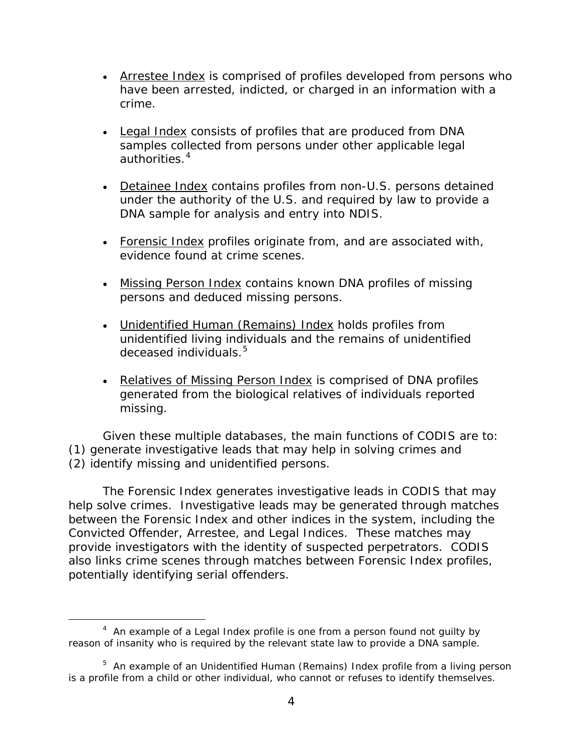- Arrestee Index is comprised of profiles developed from persons who have been arrested, indicted, or charged in an information with a crime.
- Legal Index consists of profiles that are produced from DNA samples collected from persons under other applicable legal authorities.<sup>[4](#page-7-0)</sup>
- Detainee Index contains profiles from non-U.S. persons detained under the authority of the U.S. and required by law to provide a DNA sample for analysis and entry into NDIS.
- Forensic Index profiles originate from, and are associated with, evidence found at crime scenes.
- Missing Person Index contains known DNA profiles of missing persons and deduced missing persons.
- Unidentified Human (Remains) Index holds profiles from unidentified living individuals and the remains of unidentified deceased individuals.<sup>[5](#page-7-1)</sup>
- Relatives of Missing Person Index is comprised of DNA profiles generated from the biological relatives of individuals reported missing.

Given these multiple databases, the main functions of CODIS are to: (1) generate investigative leads that may help in solving crimes and (2) identify missing and unidentified persons.

The Forensic Index generates investigative leads in CODIS that may help solve crimes. Investigative leads may be generated through matches between the Forensic Index and other indices in the system, including the Convicted Offender, Arrestee, and Legal Indices. These matches may provide investigators with the identity of suspected perpetrators. CODIS also links crime scenes through matches between Forensic Index profiles, potentially identifying serial offenders.

<span id="page-7-0"></span> $\frac{1}{4}$  $4$  An example of a Legal Index profile is one from a person found not guilty by reason of insanity who is required by the relevant state law to provide a DNA sample.

<span id="page-7-1"></span><sup>&</sup>lt;sup>5</sup> An example of an Unidentified Human (Remains) Index profile from a living person is a profile from a child or other individual, who cannot or refuses to identify themselves.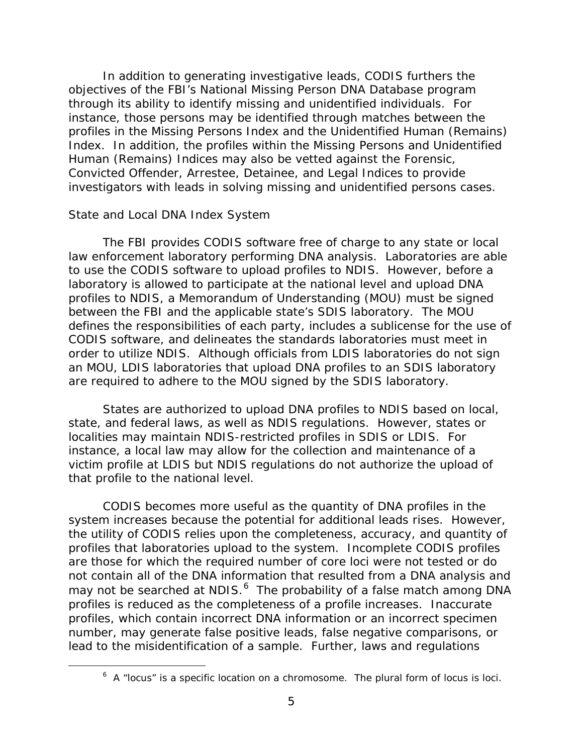In addition to generating investigative leads, CODIS furthers the objectives of the FBI's National Missing Person DNA Database program through its ability to identify missing and unidentified individuals. For instance, those persons may be identified through matches between the profiles in the Missing Persons Index and the Unidentified Human (Remains) Index. In addition, the profiles within the Missing Persons and Unidentified Human (Remains) Indices may also be vetted against the Forensic, Convicted Offender, Arrestee, Detainee, and Legal Indices to provide investigators with leads in solving missing and unidentified persons cases.

#### *State and Local DNA Index System*

The FBI provides CODIS software free of charge to any state or local law enforcement laboratory performing DNA analysis. Laboratories are able to use the CODIS software to upload profiles to NDIS. However, before a laboratory is allowed to participate at the national level and upload DNA profiles to NDIS, a Memorandum of Understanding (MOU) must be signed between the FBI and the applicable state's SDIS laboratory. The MOU defines the responsibilities of each party, includes a sublicense for the use of CODIS software, and delineates the standards laboratories must meet in order to utilize NDIS. Although officials from LDIS laboratories do not sign an MOU, LDIS laboratories that upload DNA profiles to an SDIS laboratory are required to adhere to the MOU signed by the SDIS laboratory.

States are authorized to upload DNA profiles to NDIS based on local, state, and federal laws, as well as NDIS regulations. However, states or localities may maintain NDIS-restricted profiles in SDIS or LDIS. For instance, a local law may allow for the collection and maintenance of a victim profile at LDIS but NDIS regulations do not authorize the upload of that profile to the national level.

CODIS becomes more useful as the quantity of DNA profiles in the system increases because the potential for additional leads rises. However, the utility of CODIS relies upon the completeness, accuracy, and quantity of profiles that laboratories upload to the system. Incomplete CODIS profiles are those for which the required number of core loci were not tested or do not contain all of the DNA information that resulted from a DNA analysis and may not be searched at NDIS.<sup>[6](#page-8-0)</sup> The probability of a false match among DNA profiles is reduced as the completeness of a profile increases. Inaccurate profiles, which contain incorrect DNA information or an incorrect specimen number, may generate false positive leads, false negative comparisons, or lead to the misidentification of a sample. Further, laws and regulations

<span id="page-8-0"></span> $\overline{\phantom{0}}$  $6$  A "locus" is a specific location on a chromosome. The plural form of locus is loci.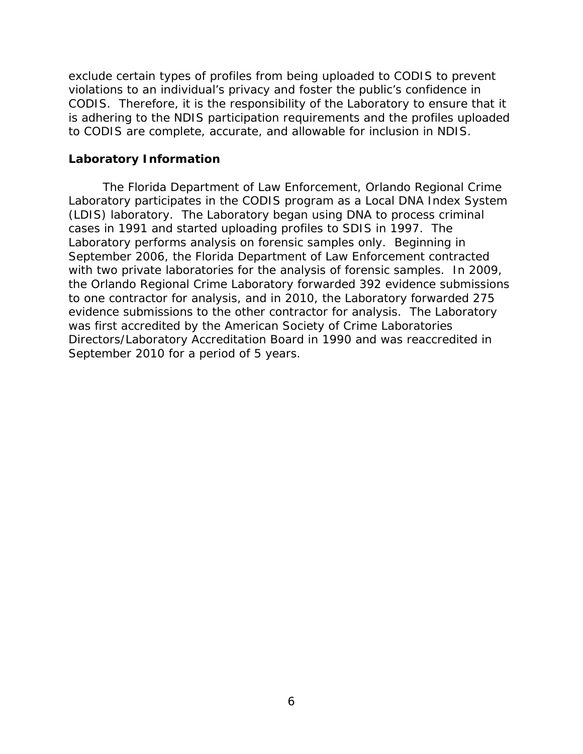exclude certain types of profiles from being uploaded to CODIS to prevent violations to an individual's privacy and foster the public's confidence in CODIS. Therefore, it is the responsibility of the Laboratory to ensure that it is adhering to the NDIS participation requirements and the profiles uploaded to CODIS are complete, accurate, and allowable for inclusion in NDIS.

#### <span id="page-9-0"></span>**Laboratory Information**

The Florida Department of Law Enforcement, Orlando Regional Crime Laboratory participates in the CODIS program as a Local DNA Index System (LDIS) laboratory. The Laboratory began using DNA to process criminal cases in 1991 and started uploading profiles to SDIS in 1997. The Laboratory performs analysis on forensic samples only.Beginning in September 2006, the Florida Department of Law Enforcement contracted with two private laboratories for the analysis of forensic samples. In 2009, the Orlando Regional Crime Laboratory forwarded 392 evidence submissions to one contractor for analysis, and in 2010, the Laboratory forwarded 275 evidence submissions to the other contractor for analysis. The Laboratory was first accredited by the American Society of Crime Laboratories Directors/Laboratory Accreditation Board in 1990 and was reaccredited in September 2010 for a period of 5 years.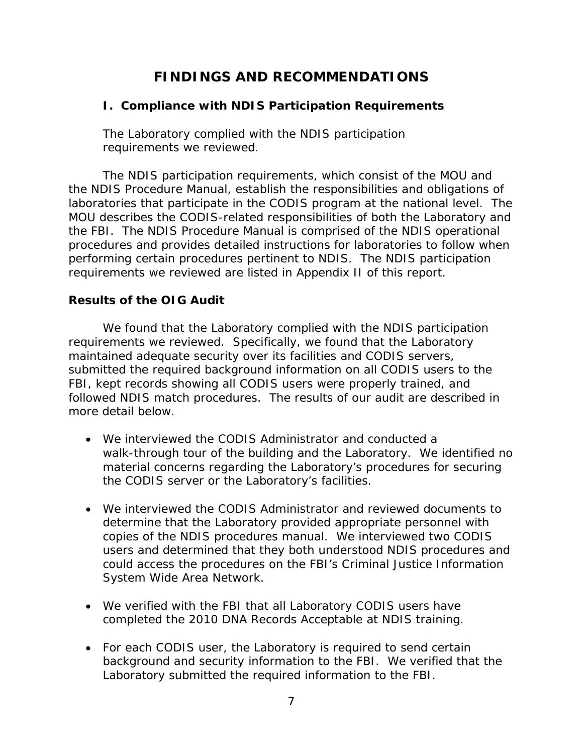## **FINDINGS AND RECOMMENDATIONS**

#### <span id="page-10-1"></span><span id="page-10-0"></span>**I. Compliance with NDIS Participation Requirements**

The Laboratory complied with the NDIS participation requirements we reviewed.

The NDIS participation requirements, which consist of the MOU and the NDIS Procedure Manual, establish the responsibilities and obligations of laboratories that participate in the CODIS program at the national level. The MOU describes the CODIS-related responsibilities of both the Laboratory and the FBI. The NDIS Procedure Manual is comprised of the NDIS operational procedures and provides detailed instructions for laboratories to follow when performing certain procedures pertinent to NDIS. The NDIS participation requirements we reviewed are listed in Appendix II of this report.

#### **Results of the OIG Audit**

We found that the Laboratory complied with the NDIS participation requirements we reviewed. Specifically, we found that the Laboratory maintained adequate security over its facilities and CODIS servers, submitted the required background information on all CODIS users to the FBI, kept records showing all CODIS users were properly trained, and followed NDIS match procedures. The results of our audit are described in more detail below.

- We interviewed the CODIS Administrator and conducted a walk-through tour of the building and the Laboratory. We identified no material concerns regarding the Laboratory's procedures for securing the CODIS server or the Laboratory's facilities.
- We interviewed the CODIS Administrator and reviewed documents to determine that the Laboratory provided appropriate personnel with copies of the NDIS procedures manual. We interviewed two CODIS users and determined that they both understood NDIS procedures and could access the procedures on the FBI's Criminal Justice Information System Wide Area Network.
- We verified with the FBI that all Laboratory CODIS users have completed the 2010 DNA Records Acceptable at NDIS training.
- For each CODIS user, the Laboratory is required to send certain background and security information to the FBI. We verified that the Laboratory submitted the required information to the FBI.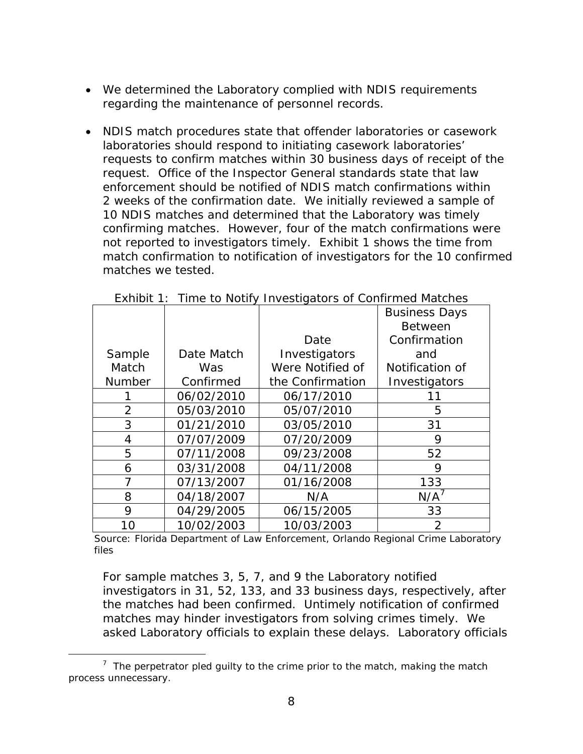- We determined the Laboratory complied with NDIS requirements regarding the maintenance of personnel records.
- NDIS match procedures state that offender laboratories or casework laboratories should respond to initiating casework laboratories' requests to confirm matches within 30 business days of receipt of the request. Office of the Inspector General standards state that law enforcement should be notified of NDIS match confirmations within 2 weeks of the confirmation date. We initially reviewed a sample of 10 NDIS matches and determined that the Laboratory was timely confirming matches. However, four of the match confirmations were not reported to investigators timely. Exhibit 1 shows the time from match confirmation to notification of investigators for the 10 confirmed matches we tested.

|                |            |                  | <b>Business Days</b> |
|----------------|------------|------------------|----------------------|
|                |            |                  | <b>Between</b>       |
|                |            | Date             | Confirmation         |
| Sample         | Date Match | Investigators    | and                  |
| Match          | <b>Was</b> | Were Notified of | Notification of      |
| <b>Number</b>  | Confirmed  | the Confirmation | Investigators        |
|                | 06/02/2010 | 06/17/2010       | 11                   |
| $\overline{2}$ | 05/03/2010 | 05/07/2010       | 5                    |
| 3              | 01/21/2010 | 03/05/2010       | 31                   |
| 4              | 07/07/2009 | 07/20/2009       | 9                    |
| 5              | 07/11/2008 | 09/23/2008       | 52                   |
| 6              | 03/31/2008 | 04/11/2008       | 9                    |
| 7              | 07/13/2007 | 01/16/2008       | 133                  |
| 8              | 04/18/2007 | N/A              | $N/A^7$              |
| 9              | 04/29/2005 | 06/15/2005       | 33                   |
| 10             | 10/02/2003 | 10/03/2003       | $\overline{2}$       |

Exhibit 1: Time to Notify Investigators of Confirmed Matches

Source: Florida Department of Law Enforcement, Orlando Regional Crime Laboratory files

For sample matches 3, 5, 7, and 9 the Laboratory notified investigators in 31, 52, 133, and 33 business days, respectively, after the matches had been confirmed. Untimely notification of confirmed matches may hinder investigators from solving crimes timely. We asked Laboratory officials to explain these delays. Laboratory officials

<span id="page-11-0"></span> $\overline{7}$  $\frac{7}{1}$  The perpetrator pled quilty to the crime prior to the match, making the match process unnecessary.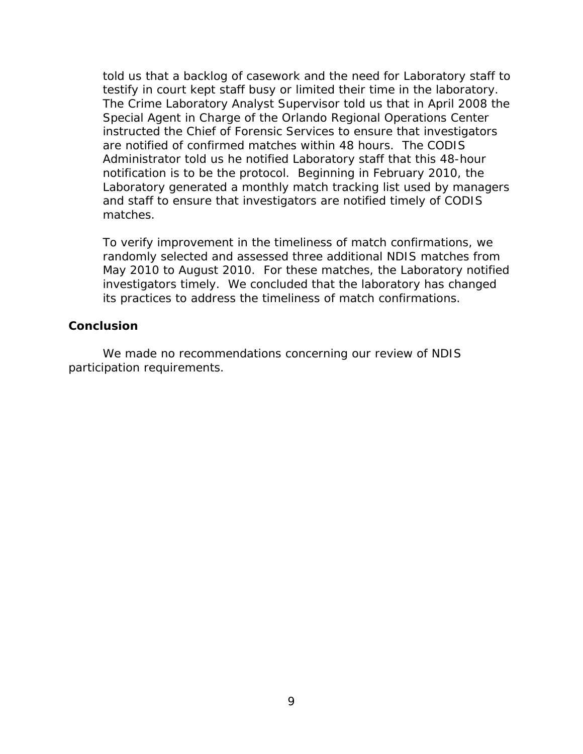told us that a backlog of casework and the need for Laboratory staff to testify in court kept staff busy or limited their time in the laboratory. The Crime Laboratory Analyst Supervisor told us that in April 2008 the Special Agent in Charge of the Orlando Regional Operations Center instructed the Chief of Forensic Services to ensure that investigators are notified of confirmed matches within 48 hours. The CODIS Administrator told us he notified Laboratory staff that this 48-hour notification is to be the protocol. Beginning in February 2010, the Laboratory generated a monthly match tracking list used by managers and staff to ensure that investigators are notified timely of CODIS matches.

To verify improvement in the timeliness of match confirmations, we randomly selected and assessed three additional NDIS matches from May 2010 to August 2010. For these matches, the Laboratory notified investigators timely. We concluded that the laboratory has changed its practices to address the timeliness of match confirmations.

### **Conclusion**

We made no recommendations concerning our review of NDIS participation requirements.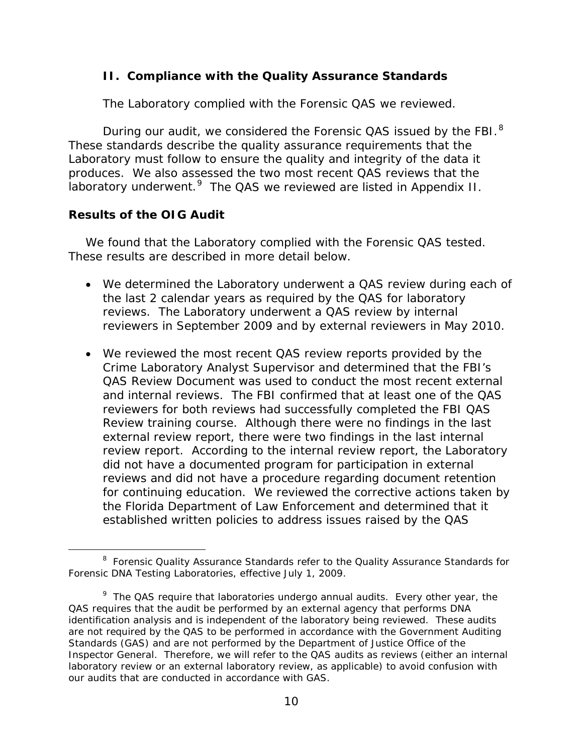#### <span id="page-13-0"></span>**II. Compliance with the Quality Assurance Standards**

The Laboratory complied with the Forensic QAS we reviewed.

During our audit, we considered the Forensic QAS issued by the FBI.<sup>[8](#page-13-1)</sup> These standards describe the quality assurance requirements that the Laboratory must follow to ensure the quality and integrity of the data it produces. We also assessed the two most recent QAS reviews that the laboratory underwent.<sup>[9](#page-13-2)</sup> The QAS we reviewed are listed in Appendix II.

### **Results of the OIG Audit**

We found that the Laboratory complied with the Forensic QAS tested. These results are described in more detail below.

- We determined the Laboratory underwent a QAS review during each of the last 2 calendar years as required by the QAS for laboratory reviews. The Laboratory underwent a QAS review by internal reviewers in September 2009 and by external reviewers in May 2010.
- We reviewed the most recent QAS review reports provided by the Crime Laboratory Analyst Supervisor and determined that the FBI's QAS Review Document was used to conduct the most recent external and internal reviews. The FBI confirmed that at least one of the QAS reviewers for both reviews had successfully completed the FBI QAS Review training course. Although there were no findings in the last external review report, there were two findings in the last internal review report. According to the internal review report, the Laboratory did not have a documented program for participation in external reviews and did not have a procedure regarding document retention for continuing education. We reviewed the corrective actions taken by the Florida Department of Law Enforcement and determined that it established written policies to address issues raised by the QAS

<span id="page-13-1"></span><sup>&</sup>lt;sup>8</sup> Forensic Quality Assurance Standards refer to the Quality Assurance Standards for Forensic DNA Testing Laboratories, effective July 1, 2009.

<span id="page-13-2"></span> $9$  The QAS require that laboratories undergo annual audits. Every other year, the QAS requires that the audit be performed by an external agency that performs DNA identification analysis and is independent of the laboratory being reviewed. These audits are not required by the QAS to be performed in accordance with the *Government Auditing Standards* (GAS) and are not performed by the Department of Justice Office of the Inspector General. Therefore, we will refer to the QAS audits as reviews (either an internal laboratory review or an external laboratory review, as applicable) to avoid confusion with our audits that are conducted in accordance with GAS.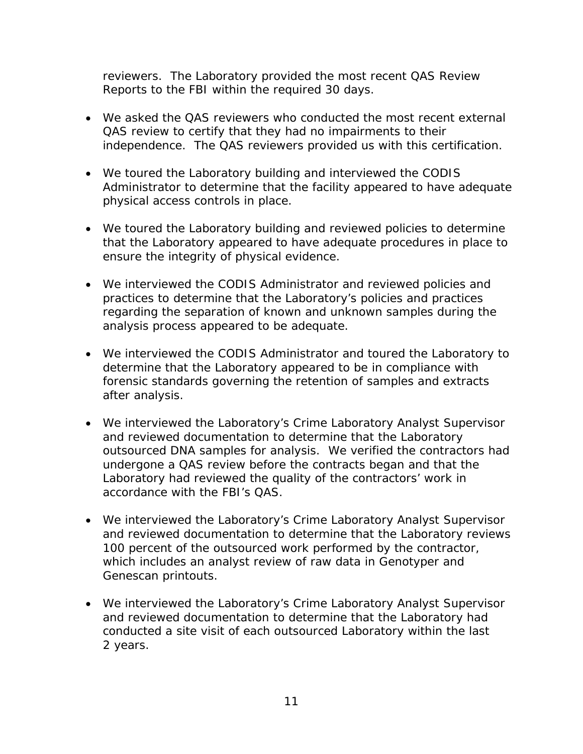reviewers. The Laboratory provided the most recent QAS Review Reports to the FBI within the required 30 days.

- We asked the QAS reviewers who conducted the most recent external QAS review to certify that they had no impairments to their independence. The QAS reviewers provided us with this certification.
- We toured the Laboratory building and interviewed the CODIS Administrator to determine that the facility appeared to have adequate physical access controls in place.
- We toured the Laboratory building and reviewed policies to determine that the Laboratory appeared to have adequate procedures in place to ensure the integrity of physical evidence.
- We interviewed the CODIS Administrator and reviewed policies and practices to determine that the Laboratory's policies and practices regarding the separation of known and unknown samples during the analysis process appeared to be adequate.
- We interviewed the CODIS Administrator and toured the Laboratory to determine that the Laboratory appeared to be in compliance with forensic standards governing the retention of samples and extracts after analysis.
- We interviewed the Laboratory's Crime Laboratory Analyst Supervisor and reviewed documentation to determine that the Laboratory outsourced DNA samples for analysis. We verified the contractors had undergone a QAS review before the contracts began and that the Laboratory had reviewed the quality of the contractors' work in accordance with the FBI's QAS.
- We interviewed the Laboratory's Crime Laboratory Analyst Supervisor and reviewed documentation to determine that the Laboratory reviews 100 percent of the outsourced work performed by the contractor, which includes an analyst review of raw data in Genotyper and Genescan printouts.
- We interviewed the Laboratory's Crime Laboratory Analyst Supervisor and reviewed documentation to determine that the Laboratory had conducted a site visit of each outsourced Laboratory within the last 2 years.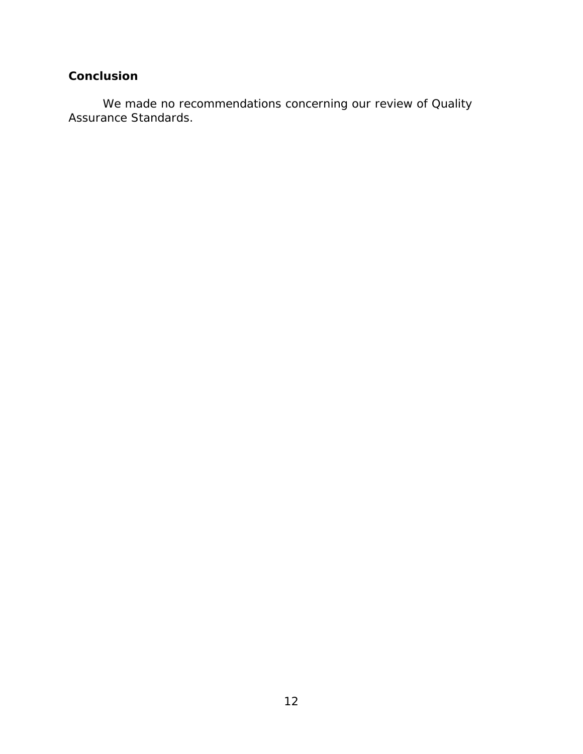## **Conclusion**

We made no recommendations concerning our review of Quality Assurance Standards.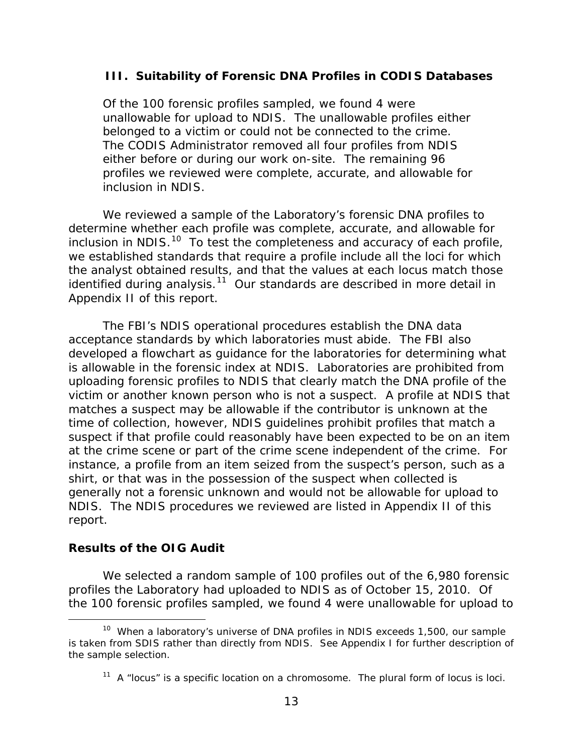#### <span id="page-16-0"></span> **III. Suitability of Forensic DNA Profiles in CODIS Databases**

Of the 100 forensic profiles sampled, we found 4 were unallowable for upload to NDIS. The unallowable profiles either belonged to a victim or could not be connected to the crime. The CODIS Administrator removed all four profiles from NDIS either before or during our work on-site. The remaining 96 profiles we reviewed were complete, accurate, and allowable for inclusion in NDIS.

We reviewed a sample of the Laboratory's forensic DNA profiles to determine whether each profile was complete, accurate, and allowable for inclusion in NDIS. $10$  To test the completeness and accuracy of each profile, we established standards that require a profile include all the loci for which the analyst obtained results, and that the values at each locus match those identified during analysis.<sup>[11](#page-16-2)</sup> Our standards are described in more detail in Appendix II of this report.

The FBI's NDIS operational procedures establish the DNA data acceptance standards by which laboratories must abide. The FBI also developed a flowchart as guidance for the laboratories for determining what is allowable in the forensic index at NDIS. Laboratories are prohibited from uploading forensic profiles to NDIS that clearly match the DNA profile of the victim or another known person who is not a suspect. A profile at NDIS that matches a suspect may be allowable if the contributor is unknown at the time of collection, however, NDIS guidelines prohibit profiles that match a suspect if that profile could reasonably have been expected to be on an item at the crime scene or part of the crime scene independent of the crime. For instance, a profile from an item seized from the suspect's person, such as a shirt, or that was in the possession of the suspect when collected is generally not a forensic unknown and would not be allowable for upload to NDIS. The NDIS procedures we reviewed are listed in Appendix II of this report.

#### **Results of the OIG Audit**

We selected a random sample of 100 profiles out of the 6,980 forensic profiles the Laboratory had uploaded to NDIS as of October 15, 2010. Of the 100 forensic profiles sampled, we found 4 were unallowable for upload to

<span id="page-16-2"></span><span id="page-16-1"></span><sup>&</sup>lt;sup>10</sup> When a laboratory's universe of DNA profiles in NDIS exceeds 1,500, our sample is taken from SDIS rather than directly from NDIS. See Appendix I for further description of the sample selection.

 $11$  A "locus" is a specific location on a chromosome. The plural form of locus is loci.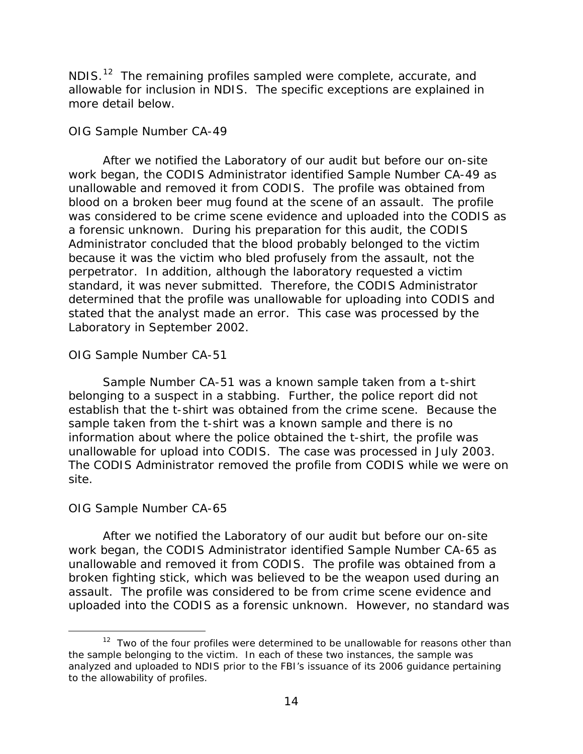NDIS. $12$  The remaining profiles sampled were complete, accurate, and allowable for inclusion in NDIS. The specific exceptions are explained in more detail below.

### *OIG Sample Number CA-49*

After we notified the Laboratory of our audit but before our on-site work began, the CODIS Administrator identified Sample Number CA-49 as unallowable and removed it from CODIS. The profile was obtained from blood on a broken beer mug found at the scene of an assault. The profile was considered to be crime scene evidence and uploaded into the CODIS as a forensic unknown. During his preparation for this audit, the CODIS Administrator concluded that the blood probably belonged to the victim because it was the victim who bled profusely from the assault, not the perpetrator. In addition, although the laboratory requested a victim standard, it was never submitted. Therefore, the CODIS Administrator determined that the profile was unallowable for uploading into CODIS and stated that the analyst made an error. This case was processed by the Laboratory in September 2002.

### *OIG Sample Number CA-51*

Sample Number CA-51 was a known sample taken from a t-shirt belonging to a suspect in a stabbing. Further, the police report did not establish that the t-shirt was obtained from the crime scene. Because the sample taken from the t-shirt was a known sample and there is no information about where the police obtained the t-shirt, the profile was unallowable for upload into CODIS. The case was processed in July 2003. The CODIS Administrator removed the profile from CODIS while we were on site.

### *OIG Sample Number CA-65*

After we notified the Laboratory of our audit but before our on-site work began, the CODIS Administrator identified Sample Number CA-65 as unallowable and removed it from CODIS. The profile was obtained from a broken fighting stick, which was believed to be the weapon used during an assault. The profile was considered to be from crime scene evidence and uploaded into the CODIS as a forensic unknown. However, no standard was

<span id="page-17-0"></span> $12$  Two of the four profiles were determined to be unallowable for reasons other than the sample belonging to the victim. In each of these two instances, the sample was analyzed and uploaded to NDIS prior to the FBI's issuance of its 2006 guidance pertaining to the allowability of profiles.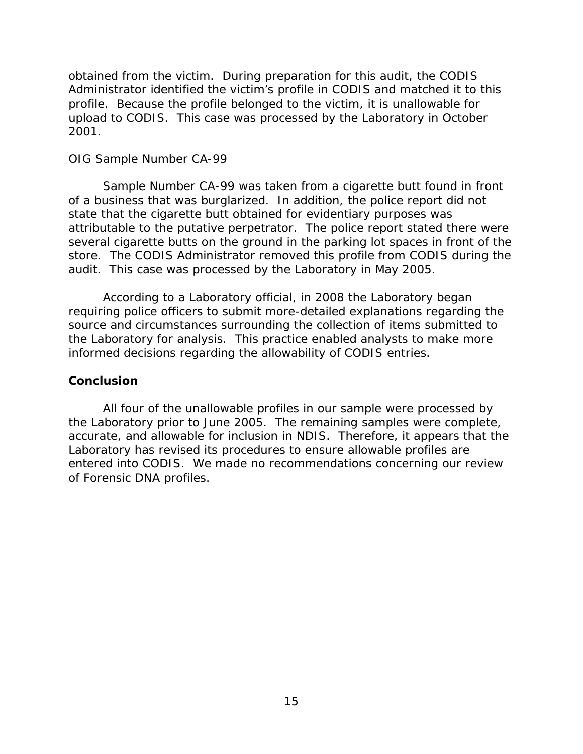obtained from the victim. During preparation for this audit, the CODIS Administrator identified the victim's profile in CODIS and matched it to this profile. Because the profile belonged to the victim, it is unallowable for upload to CODIS. This case was processed by the Laboratory in October 2001.

#### *OIG Sample Number CA-99*

Sample Number CA-99 was taken from a cigarette butt found in front of a business that was burglarized. In addition, the police report did not state that the cigarette butt obtained for evidentiary purposes was attributable to the putative perpetrator. The police report stated there were several cigarette butts on the ground in the parking lot spaces in front of the store. The CODIS Administrator removed this profile from CODIS during the audit. This case was processed by the Laboratory in May 2005.

According to a Laboratory official, in 2008 the Laboratory began requiring police officers to submit more-detailed explanations regarding the source and circumstances surrounding the collection of items submitted to the Laboratory for analysis. This practice enabled analysts to make more informed decisions regarding the allowability of CODIS entries.

#### **Conclusion**

All four of the unallowable profiles in our sample were processed by the Laboratory prior to June 2005. The remaining samples were complete, accurate, and allowable for inclusion in NDIS. Therefore, it appears that the Laboratory has revised its procedures to ensure allowable profiles are entered into CODIS. We made no recommendations concerning our review of Forensic DNA profiles.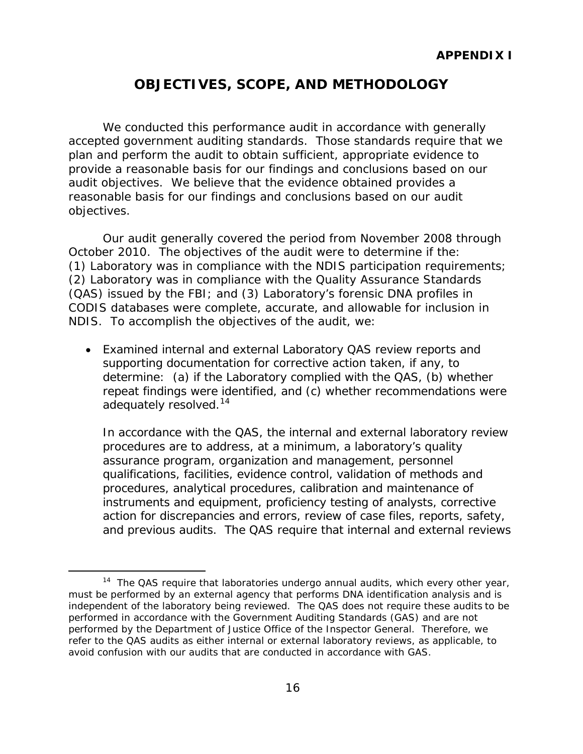## **OBJECTIVES, SCOPE, AND METHODOLOGY**

<span id="page-19-0"></span>We conducted this performance audit in accordance with generally accepted government auditing standards. Those standards require that we plan and perform the audit to obtain sufficient, appropriate evidence to provide a reasonable basis for our findings and conclusions based on our audit objectives. We believe that the evidence obtained provides a reasonable basis for our findings and conclusions based on our audit objectives.

Our audit generally covered the period from November 2008 through October 2010. The objectives of the audit were to determine if the: (1) Laboratory was in compliance with the NDIS participation requirements; (2) Laboratory was in compliance with the Quality Assurance Standards (QAS) issued by the FBI; and (3) Laboratory's forensic DNA profiles in CODIS databases were complete, accurate, and allowable for inclusion in NDIS. To accomplish the objectives of the audit, we:

• Examined internal and external Laboratory QAS review reports and supporting documentation for corrective action taken, if any, to determine: (a) if the Laboratory complied with the QAS, (b) whether repeat findings were identified, and (c) whether recommendations were adequately resolved.<sup>14</sup>

In accordance with the QAS, the internal and external laboratory review procedures are to address, at a minimum, a laboratory's quality assurance program, organization and management, personnel qualifications, facilities, evidence control, validation of methods and procedures, analytical procedures, calibration and maintenance of instruments and equipment, proficiency testing of analysts, corrective action for discrepancies and errors, review of case files, reports, safety, and previous audits. The QAS require that internal and external reviews

<span id="page-19-1"></span> $14$  The QAS require that laboratories undergo annual audits, which every other year, must be performed by an external agency that performs DNA identification analysis and is independent of the laboratory being reviewed. The QAS does not require these audits to be performed in accordance with the *Government Auditing Standards* (GAS) and are not performed by the Department of Justice Office of the Inspector General. Therefore, we refer to the QAS audits as either internal or external laboratory reviews, as applicable, to avoid confusion with our audits that are conducted in accordance with GAS.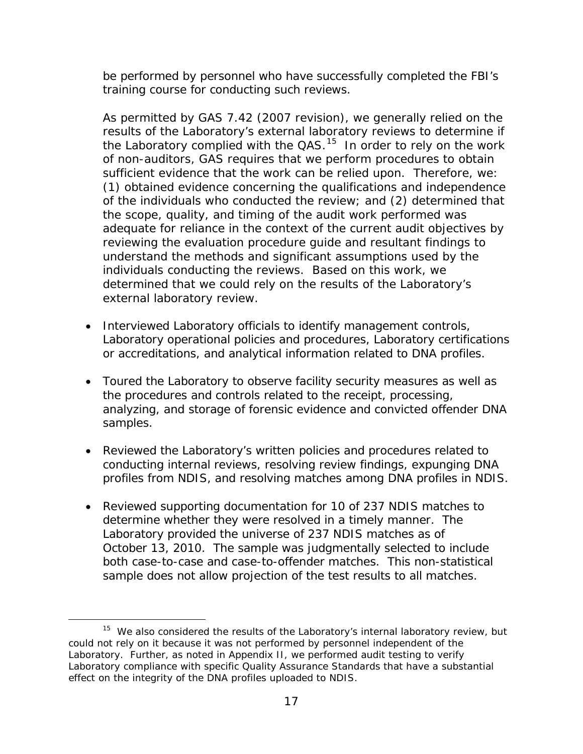be performed by personnel who have successfully completed the FBI's training course for conducting such reviews.

As permitted by GAS 7.42 (2007 revision), we generally relied on the results of the Laboratory's external laboratory reviews to determine if the Laboratory complied with the  $QAS$ <sup>[15](#page-20-0)</sup> In order to rely on the work of non-auditors, GAS requires that we perform procedures to obtain sufficient evidence that the work can be relied upon. Therefore, we: (1) obtained evidence concerning the qualifications and independence of the individuals who conducted the review; and (2) determined that the scope, quality, and timing of the audit work performed was adequate for reliance in the context of the current audit objectives by reviewing the evaluation procedure guide and resultant findings to understand the methods and significant assumptions used by the individuals conducting the reviews. Based on this work, we determined that we could rely on the results of the Laboratory's external laboratory review.

- Interviewed Laboratory officials to identify management controls, Laboratory operational policies and procedures, Laboratory certifications or accreditations, and analytical information related to DNA profiles.
- Toured the Laboratory to observe facility security measures as well as the procedures and controls related to the receipt, processing, analyzing, and storage of forensic evidence and convicted offender DNA samples.
- Reviewed the Laboratory's written policies and procedures related to conducting internal reviews, resolving review findings, expunging DNA profiles from NDIS, and resolving matches among DNA profiles in NDIS.
- Reviewed supporting documentation for 10 of 237 NDIS matches to determine whether they were resolved in a timely manner. The Laboratory provided the universe of 237 NDIS matches as of October 13, 2010. The sample was judgmentally selected to include both case-to-case and case-to-offender matches. This non-statistical sample does not allow projection of the test results to all matches.

<span id="page-20-0"></span> $15$  We also considered the results of the Laboratory's internal laboratory review, but could not rely on it because it was not performed by personnel independent of the Laboratory. Further, as noted in Appendix II, we performed audit testing to verify Laboratory compliance with specific Quality Assurance Standards that have a substantial effect on the integrity of the DNA profiles uploaded to NDIS.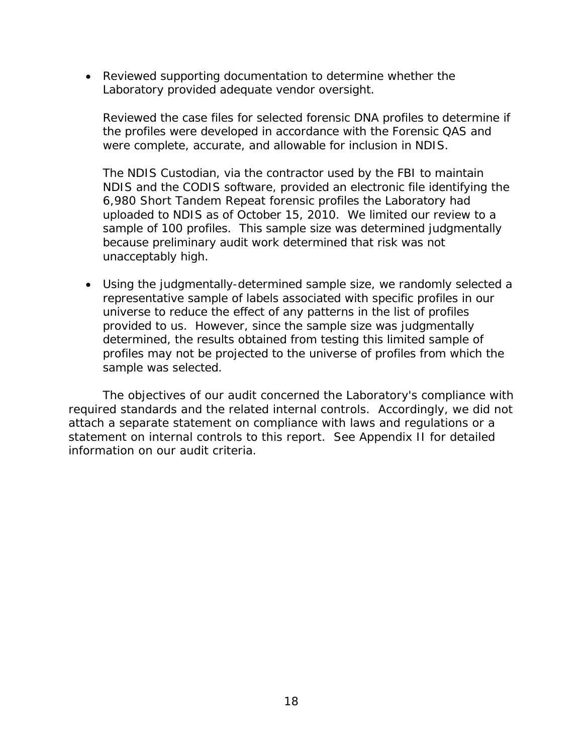• Reviewed supporting documentation to determine whether the Laboratory provided adequate vendor oversight.

Reviewed the case files for selected forensic DNA profiles to determine if the profiles were developed in accordance with the Forensic QAS and were complete, accurate, and allowable for inclusion in NDIS.

The NDIS Custodian, via the contractor used by the FBI to maintain NDIS and the CODIS software, provided an electronic file identifying the 6,980 Short Tandem Repeat forensic profiles the Laboratory had uploaded to NDIS as of October 15, 2010. We limited our review to a sample of 100 profiles. This sample size was determined judgmentally because preliminary audit work determined that risk was not unacceptably high.

• Using the judgmentally-determined sample size, we randomly selected a representative sample of labels associated with specific profiles in our universe to reduce the effect of any patterns in the list of profiles provided to us. However, since the sample size was judgmentally determined, the results obtained from testing this limited sample of profiles may not be projected to the universe of profiles from which the sample was selected.

The objectives of our audit concerned the Laboratory's compliance with required standards and the related internal controls. Accordingly, we did not attach a separate statement on compliance with laws and regulations or a statement on internal controls to this report. See Appendix II for detailed information on our audit criteria.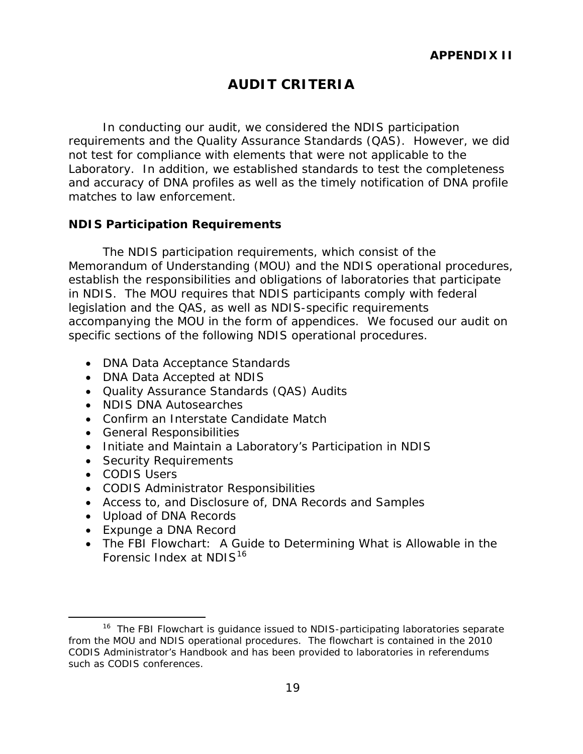## **AUDIT CRITERIA**

<span id="page-22-0"></span>In conducting our audit, we considered the NDIS participation requirements and the Quality Assurance Standards (QAS). However, we did not test for compliance with elements that were not applicable to the Laboratory. In addition, we established standards to test the completeness and accuracy of DNA profiles as well as the timely notification of DNA profile matches to law enforcement.

#### <span id="page-22-1"></span>**NDIS Participation Requirements**

The NDIS participation requirements, which consist of the Memorandum of Understanding (MOU) and the NDIS operational procedures, establish the responsibilities and obligations of laboratories that participate in NDIS. The MOU requires that NDIS participants comply with federal legislation and the QAS, as well as NDIS-specific requirements accompanying the MOU in the form of appendices. We focused our audit on specific sections of the following NDIS operational procedures.

- DNA Data Acceptance Standards
- DNA Data Accepted at NDIS
- Quality Assurance Standards (QAS) Audits
- NDIS DNA Autosearches
- Confirm an Interstate Candidate Match
- General Responsibilities
- Initiate and Maintain a Laboratory's Participation in NDIS
- Security Requirements
- CODIS Users
- CODIS Administrator Responsibilities
- Access to, and Disclosure of, DNA Records and Samples
- Upload of DNA Records
- <span id="page-22-2"></span>• Expunge a DNA Record
- The FBI Flowchart: A Guide to Determining What is Allowable in the Forensic Index at NDIS<sup>[16](#page-22-3)</sup>

<span id="page-22-3"></span><sup>&</sup>lt;sup>16</sup> The FBI Flowchart is quidance issued to NDIS-participating laboratories separate from the MOU and NDIS operational procedures. The flowchart is contained in the 2010 CODIS Administrator's Handbook and has been provided to laboratories in referendums such as CODIS conferences.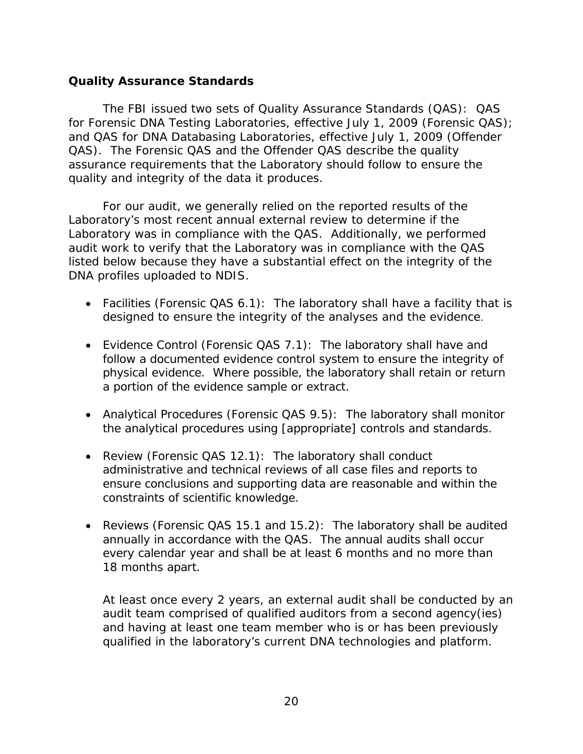#### **Quality Assurance Standards**

The FBI issued two sets of Quality Assurance Standards (QAS): QAS for Forensic DNA Testing Laboratories, effective July 1, 2009 (Forensic QAS); and QAS for DNA Databasing Laboratories, effective July 1, 2009 (Offender QAS). The Forensic QAS and the Offender QAS describe the quality assurance requirements that the Laboratory should follow to ensure the quality and integrity of the data it produces.

For our audit, we generally relied on the reported results of the Laboratory's most recent annual external review to determine if the Laboratory was in compliance with the QAS. Additionally, we performed audit work to verify that the Laboratory was in compliance with the QAS listed below because they have a substantial effect on the integrity of the DNA profiles uploaded to NDIS.

- Facilities (Forensic QAS 6.1): The laboratory shall have a facility that is designed to ensure the integrity of the analyses and the evidence.
- Evidence Control (Forensic QAS 7.1): The laboratory shall have and follow a documented evidence control system to ensure the integrity of physical evidence. Where possible, the laboratory shall retain or return a portion of the evidence sample or extract.
- Analytical Procedures (Forensic QAS 9.5): The laboratory shall monitor the analytical procedures using [appropriate] controls and standards.
- Review (Forensic QAS 12.1): The laboratory shall conduct administrative and technical reviews of all case files and reports to ensure conclusions and supporting data are reasonable and within the constraints of scientific knowledge.
- Reviews (Forensic QAS 15.1 and 15.2): The laboratory shall be audited annually in accordance with the QAS. The annual audits shall occur every calendar year and shall be at least 6 months and no more than 18 months apart.

At least once every 2 years, an external audit shall be conducted by an audit team comprised of qualified auditors from a second agency(ies) and having at least one team member who is or has been previously qualified in the laboratory's current DNA technologies and platform.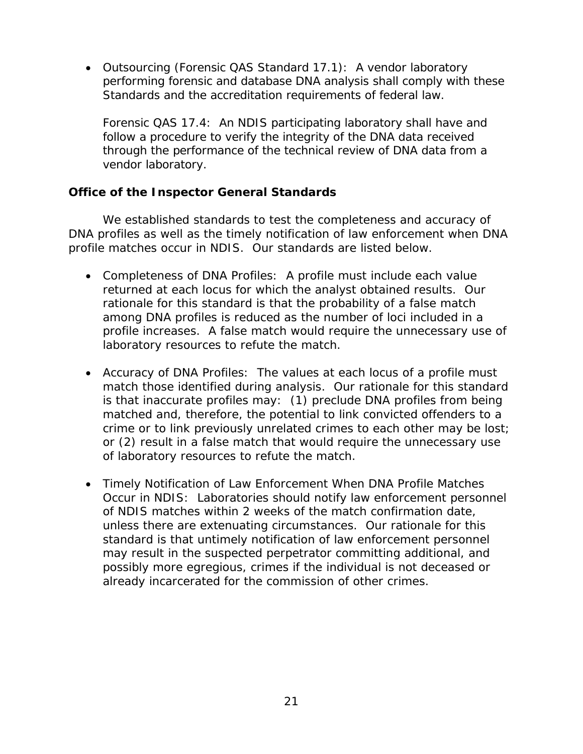• Outsourcing (Forensic QAS Standard 17.1): A vendor laboratory performing forensic and database DNA analysis shall comply with these Standards and the accreditation requirements of federal law.

Forensic QAS 17.4: An NDIS participating laboratory shall have and follow a procedure to verify the integrity of the DNA data received through the performance of the technical review of DNA data from a vendor laboratory.

### <span id="page-24-0"></span>**Office of the Inspector General Standards**

We established standards to test the completeness and accuracy of DNA profiles as well as the timely notification of law enforcement when DNA profile matches occur in NDIS. Our standards are listed below.

- Completeness of DNA Profiles: A profile must include each value returned at each locus for which the analyst obtained results. Our rationale for this standard is that the probability of a false match among DNA profiles is reduced as the number of loci included in a profile increases. A false match would require the unnecessary use of laboratory resources to refute the match.
- Accuracy of DNA Profiles: The values at each locus of a profile must match those identified during analysis. Our rationale for this standard is that inaccurate profiles may: (1) preclude DNA profiles from being matched and, therefore, the potential to link convicted offenders to a crime or to link previously unrelated crimes to each other may be lost; or (2) result in a false match that would require the unnecessary use of laboratory resources to refute the match.
- Timely Notification of Law Enforcement When DNA Profile Matches Occur in NDIS: Laboratories should notify law enforcement personnel of NDIS matches within 2 weeks of the match confirmation date, unless there are extenuating circumstances. Our rationale for this standard is that untimely notification of law enforcement personnel may result in the suspected perpetrator committing additional, and possibly more egregious, crimes if the individual is not deceased or already incarcerated for the commission of other crimes.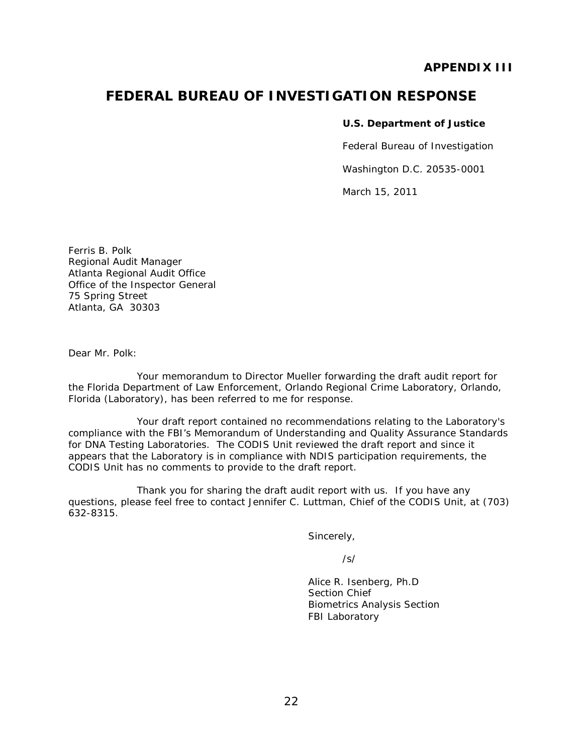#### **APPENDIX III**

### **FEDERAL BUREAU OF INVESTIGATION RESPONSE**

#### **U.S. Department of Justice**

Federal Bureau of Investigation

Washington D.C. 20535-0001

March 15, 2011

Ferris B. Polk Regional Audit Manager Atlanta Regional Audit Office Office of the Inspector General 75 Spring Street Atlanta, GA 30303

Dear Mr. Polk:

Your memorandum to Director Mueller forwarding the draft audit report for the Florida Department of Law Enforcement, Orlando Regional Crime Laboratory, Orlando, Florida (Laboratory), has been referred to me for response.

Your draft report contained no recommendations relating to the Laboratory's compliance with the FBI's Memorandum of Understanding and *Quality Assurance Standards for DNA Testing Laboratories.* The CODIS Unit reviewed the draft report and since it appears that the Laboratory is in compliance with NDIS participation requirements, the CODIS Unit has no comments to provide to the draft report.

Thank you for sharing the draft audit report with us. If you have any questions, please feel free to contact Jennifer C. Luttman, Chief of the CODIS Unit, at (703) 632-8315.

Sincerely,

/s/

Alice R. Isenberg, Ph.D Section Chief Biometrics Analysis Section FBI Laboratory